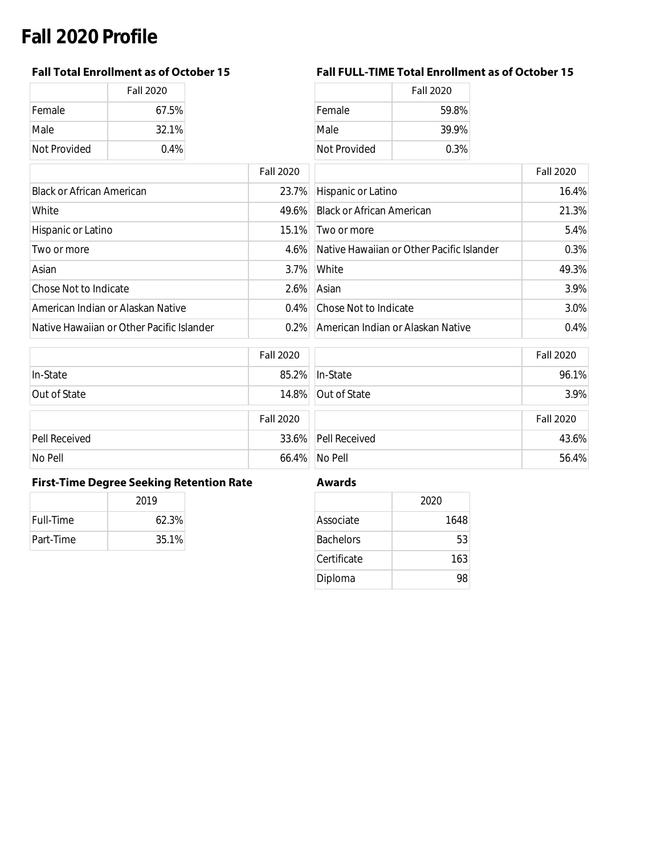# **Fall 2020 Profile**

|              | <b>Fall 2020</b> |
|--------------|------------------|
| Female       | 67.5%            |
| Male         | 32.1%            |
| Not Provided | $0.4\%$          |

### **Fall Total Enrollment as of October 15 Fall FULL-TIME Total Enrollment as of October 15**

| Fall 2020 |              | <b>Fall 2020</b> |
|-----------|--------------|------------------|
| 67.5%     | Female       | 59.8%            |
| 32.1%     | Male         | 39.9%            |
| $0.4\%$   | Not Provided | 0.3%             |

|                                           | <b>Fall 2020</b> |                                           | <b>Fall 2020</b> |
|-------------------------------------------|------------------|-------------------------------------------|------------------|
| <b>Black or African American</b>          | 23.7%            | Hispanic or Latino                        | 16.4%            |
| White                                     | 49.6%            | <b>Black or African American</b>          | 21.3%            |
| Hispanic or Latino                        | 15.1%            | Two or more                               | 5.4%             |
| Two or more                               | $4.6\%$          | Native Hawaiian or Other Pacific Islander | 0.3%             |
| Asian                                     | $3.7\%$          | White                                     | 49.3%            |
| Chose Not to Indicate                     | 2.6%             | Asian                                     | 3.9%             |
| American Indian or Alaskan Native         | $0.4\%$          | Chose Not to Indicate                     | 3.0%             |
| Native Hawaiian or Other Pacific Islander | $0.2\%$          | American Indian or Alaskan Native         | 0.4%             |
|                                           |                  |                                           |                  |

|               | <b>Fall 2020</b> |                     | <b>Fall 2020</b> |
|---------------|------------------|---------------------|------------------|
| In-State      |                  | 85.2% In-State      | 96.1%            |
| Out of State  |                  | 14.8% Out of State  | 3.9%             |
|               | <b>Fall 2020</b> |                     | <b>Fall 2020</b> |
| Pell Received |                  | 33.6% Pell Received | 43.6%            |
| No Pell       |                  | 66.4% No Pell       | 56.4%            |

### **First-Time Degree Seeking Retention Rate Awards**

|           | 2019  |
|-----------|-------|
| Full-Time | 62.3% |
| Part-Time | 35.1% |

|                  | 2020 |
|------------------|------|
| Associate        | 1648 |
| <b>Bachelors</b> | 53   |
| Certificate      | 163  |
| Diploma          |      |